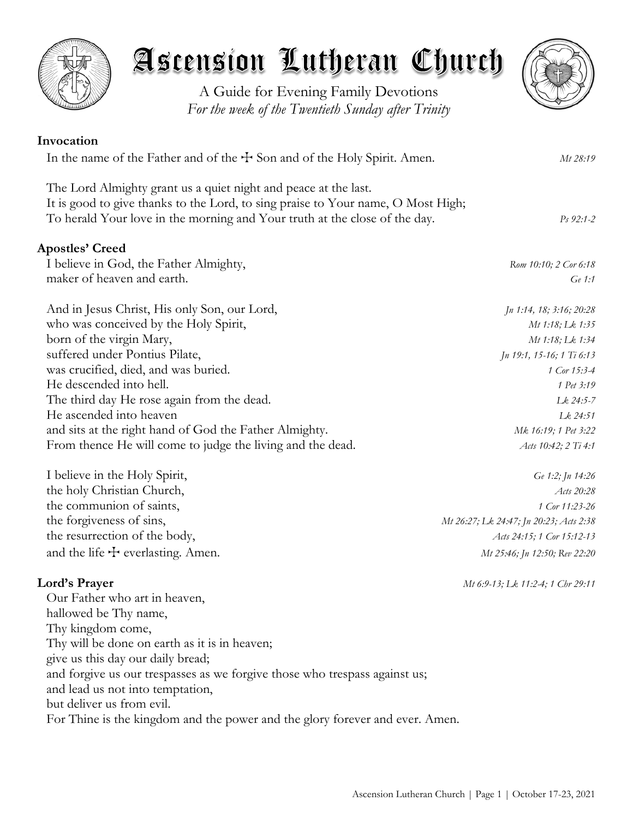

A Guide for Evening Family Devotions *For the week of the Twentieth Sunday after Trinity*

| Invocation                                                                                                                                                                                                                        |                           |
|-----------------------------------------------------------------------------------------------------------------------------------------------------------------------------------------------------------------------------------|---------------------------|
| In the name of the Father and of the $+$ Son and of the Holy Spirit. Amen.                                                                                                                                                        | Mt 28:19                  |
| The Lord Almighty grant us a quiet night and peace at the last.<br>It is good to give thanks to the Lord, to sing praise to Your name, O Most High;<br>To herald Your love in the morning and Your truth at the close of the day. | $Ps\,92:1-2$              |
| <b>Apostles' Creed</b>                                                                                                                                                                                                            |                           |
| I believe in God, the Father Almighty,                                                                                                                                                                                            | Rom 10:10; 2 Cor 6:18     |
| maker of heaven and earth.                                                                                                                                                                                                        | Ge 1:1                    |
| And in Jesus Christ, His only Son, our Lord,                                                                                                                                                                                      | Jn 1:14, 18; 3:16; 20:28  |
| who was conceived by the Holy Spirit,                                                                                                                                                                                             | Mt 1:18; Lk 1:35          |
| born of the virgin Mary,                                                                                                                                                                                                          | Mt 1:18; Lk 1:34          |
| suffered under Pontius Pilate,                                                                                                                                                                                                    | Jn 19:1, 15-16; 1 Ti 6:13 |
| was crucified, died, and was buried.                                                                                                                                                                                              | 1 Cor 15:3-4              |
| He descended into hell.                                                                                                                                                                                                           | 1 Pet 3:19                |
| The third day He rose again from the dead.                                                                                                                                                                                        | Lk 24:5-7                 |
| He ascended into heaven                                                                                                                                                                                                           | Lk 24:51                  |
| and sits at the right hand of God the Father Almighty.                                                                                                                                                                            | Mk 16:19; 1 Pet 3:22      |
| From thence He will come to judge the living and the dead.                                                                                                                                                                        | Acts 10:42; 2 Ti 4:1      |
| I believe in the Holy Spirit,                                                                                                                                                                                                     | Ge 1:2; Jn 14:26          |
| the holy Christian Church,                                                                                                                                                                                                        | Acts 20:28                |

the communion of saints, *1 Cor 11:23-26* the forgiveness of sins, *Mt 26:27; Lk 24:47; Jn 20:23; Acts 2:38* the resurrection of the body, *Acts 24:15; 1 Cor 15:12-13* and the life  $\pm$  everlasting. Amen. *Mt 25:46; Jn 12:50; Rev 22:20* 

# **Lord's Prayer** *Mt 6:9-13; Lk 11:2-4; 1 Chr 29:11*

Our Father who art in heaven, hallowed be Thy name, Thy kingdom come, Thy will be done on earth as it is in heaven; give us this day our daily bread; and forgive us our trespasses as we forgive those who trespass against us; and lead us not into temptation, but deliver us from evil. For Thine is the kingdom and the power and the glory forever and ever. Amen.